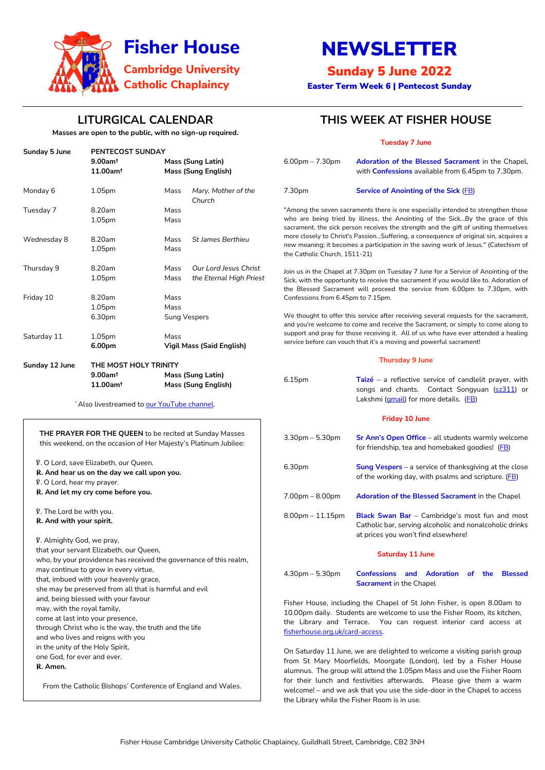Fisher House Cambridge University Catholic Chaplaincy, Guildhall Street, Cambridge, CB2 3NH

# NEWSLETTER

# Sunday 5 June 2022

Easter Term Week 6 | Pentecost Sunday



# **LITURGICAL CALENDAR**

**Masses are open to the public, with no sign-up required.**

℣. Almighty God, we pray, that your servant Elizabeth, our Queen, who, by your providence has received the governance of the state. may continue to grow in every virtue, that, imbued with your heavenly grace, she may be preserved from all that is harmful and evil and, being blessed with your favour may, with the royal family, come at last into your presence, through Christ who is the way, the truth and the life and who lives and reigns with you in the unity of the Holy Spirit, one God, for ever and ever. **℟. Amen.**

From the Catholic Bishops' Conference of England and Wales.

# **THIS WEEK AT FISHER HOUSE**

|                                                                                                                                            |                                                                   |                                                        |                                                                                                                                                                                                                                                          | <b>Tuesday 7 June</b>                                                                                                                                                                                                                                       |                                                                                                                                                   |  |
|--------------------------------------------------------------------------------------------------------------------------------------------|-------------------------------------------------------------------|--------------------------------------------------------|----------------------------------------------------------------------------------------------------------------------------------------------------------------------------------------------------------------------------------------------------------|-------------------------------------------------------------------------------------------------------------------------------------------------------------------------------------------------------------------------------------------------------------|---------------------------------------------------------------------------------------------------------------------------------------------------|--|
| <b>Sunday 5 June</b>                                                                                                                       | PENTECOST SUNDAY                                                  |                                                        |                                                                                                                                                                                                                                                          |                                                                                                                                                                                                                                                             |                                                                                                                                                   |  |
|                                                                                                                                            | $9.00$ am <sup>t</sup><br>11.00am <sup>t</sup>                    | <b>Mass (Sung Latin)</b><br><b>Mass (Sung English)</b> |                                                                                                                                                                                                                                                          | $6.00$ pm $- 7.30$ pm                                                                                                                                                                                                                                       | Adoration of the Blessed Sacrament in the Chapel,<br>with <b>Confessions</b> available from 6.45pm to 7.30pm.                                     |  |
| Monday 6                                                                                                                                   | 1.05pm                                                            | Mass                                                   | Mary, Mother of the<br>Church                                                                                                                                                                                                                            | 7.30pm                                                                                                                                                                                                                                                      | <b>Service of Anointing of the Sick (FB)</b>                                                                                                      |  |
| Tuesday 7                                                                                                                                  | 8.20am<br>Mass<br>1.05pm<br>Mass                                  |                                                        | "Among the seven sacraments there is one especially intended to strengthen those<br>who are being tried by illness, the Anointing of the SickBy the grace of this<br>sacrament, the sick person receives the strength and the gift of uniting themselves |                                                                                                                                                                                                                                                             |                                                                                                                                                   |  |
| Wednesday 8                                                                                                                                | 8.20am<br>1.05pm                                                  | <b>St James Berthieu</b><br>Mass<br>Mass               |                                                                                                                                                                                                                                                          | more closely to Christ's PassionSuffering, a consequence of original sin, acquires a<br>new meaning; it becomes a participation in the saving work of Jesus." (Catechism of<br>the Catholic Church, 1511-21)                                                |                                                                                                                                                   |  |
| Thursday 9                                                                                                                                 | 8.20am<br>1.05 <sub>pm</sub>                                      | Mass<br>Mass                                           | Our Lord Jesus Christ<br>the Eternal High Priest                                                                                                                                                                                                         | Join us in the Chapel at 7.30pm on Tuesday 7 June for a Service of Anointing of the<br>Sick, with the opportunity to receive the sacrament if you would like to. Adoration of<br>the Blessed Sacrament will proceed the service from 6.00pm to 7.30pm, with |                                                                                                                                                   |  |
| Friday 10                                                                                                                                  | 8.20am<br>1.05pm                                                  | Mass<br>Mass                                           |                                                                                                                                                                                                                                                          | Confessions from 6.45pm to 7.15pm.                                                                                                                                                                                                                          |                                                                                                                                                   |  |
|                                                                                                                                            | 6.30pm                                                            |                                                        | <b>Sung Vespers</b>                                                                                                                                                                                                                                      | We thought to offer this service after receiving several requests for the sacrament,<br>and you're welcome to come and receive the Sacrament, or simply to come along to                                                                                    |                                                                                                                                                   |  |
| Saturday 11                                                                                                                                | 1.05pm<br>Mass<br>6.00pm<br><b>Vigil Mass (Said English)</b>      |                                                        |                                                                                                                                                                                                                                                          | support and pray for those receiving it. All of us who have ever attended a healing<br>service before can vouch that it's a moving and powerful sacrament!                                                                                                  |                                                                                                                                                   |  |
| Sunday 12 June                                                                                                                             | THE MOST HOLY TRINITY                                             |                                                        | <b>Thursday 9 June</b>                                                                                                                                                                                                                                   |                                                                                                                                                                                                                                                             |                                                                                                                                                   |  |
|                                                                                                                                            | $9.00$ am <sup>t</sup>                                            | <b>Mass (Sung Latin)</b>                               |                                                                                                                                                                                                                                                          |                                                                                                                                                                                                                                                             |                                                                                                                                                   |  |
|                                                                                                                                            | 11.00am <sup>t</sup><br>Also livestreamed to our YouTube channel. |                                                        | <b>Mass (Sung English)</b>                                                                                                                                                                                                                               | 6.15pm                                                                                                                                                                                                                                                      | Taizé – a reflective service of candlelit prayer, with<br>songs and chants. Contact Songyuan (sz311) or<br>Lakshmi (gmail) for more details. (FB) |  |
|                                                                                                                                            |                                                                   |                                                        |                                                                                                                                                                                                                                                          | <b>Friday 10 June</b>                                                                                                                                                                                                                                       |                                                                                                                                                   |  |
| <b>THE PRAYER FOR THE QUEEN to be recited at Sunday Masses</b><br>this weekend, on the occasion of Her Majesty's Platinum Jubilee:         |                                                                   |                                                        |                                                                                                                                                                                                                                                          | $3.30$ pm $- 5.30$ pm                                                                                                                                                                                                                                       | Sr Ann's Open Office - all students warmly welcome<br>for friendship, tea and homebaked goodies! (FB)                                             |  |
| V. O Lord, save Elizabeth, our Queen.<br>R. And hear us on the day we call upon you.<br>V. O Lord, hear my prayer.                         |                                                                   |                                                        |                                                                                                                                                                                                                                                          | 6.30pm                                                                                                                                                                                                                                                      | <b>Sung Vespers</b> $-$ a service of thanksgiving at the close<br>of the working day, with psalms and scripture. (FB)                             |  |
| R. And let my cry come before you.                                                                                                         |                                                                   |                                                        |                                                                                                                                                                                                                                                          | $7.00pm - 8.00pm$                                                                                                                                                                                                                                           | Adoration of the Blessed Sacrament in the Chapel                                                                                                  |  |
| V. The Lord be with you.<br>R. And with your spirit.                                                                                       |                                                                   |                                                        |                                                                                                                                                                                                                                                          | $8.00$ pm $-11.15$ pm                                                                                                                                                                                                                                       | Black Swan Bar - Cambridge's most fun and most<br>Catholic bar, serving alcoholic and nonalcoholic drinks<br>at prices you won't find elsewhere!  |  |
| V. Almighty God, we pray,<br>that your servant Elizabeth, our Queen,<br>who, by your providence has received the governance of this realm, |                                                                   |                                                        |                                                                                                                                                                                                                                                          | <b>Saturday 11 June</b>                                                                                                                                                                                                                                     |                                                                                                                                                   |  |
| may continue to grow in every virtue,                                                                                                      |                                                                   |                                                        |                                                                                                                                                                                                                                                          | $4.30$ pm $- 5.30$ pm                                                                                                                                                                                                                                       | <b>Confessions</b><br>and Adoration of the Blessed                                                                                                |  |

#### **Sacrament** in the Chapel

Fisher House, including the Chapel of St John Fisher, is open 8.00am to 10.00pm daily. Students are welcome to use the Fisher Room, its kitchen, the Library and Terrace. You can request interior card access at [fisherhouse.org.uk/card-access.](http://www.fisherhouse.org.uk/card-access)

On Saturday 11 June, we are delighted to welcome a visiting parish group from St Mary Moorfields, Moorgate (London), led by a Fisher House alumnus. The group will attend the 1.05pm Mass and use the Fisher Room for their lunch and festivities afterwards. Please give them a warm welcome! – and we ask that you use the side-door in the Chapel to access the Library while the Fisher Room is in use.